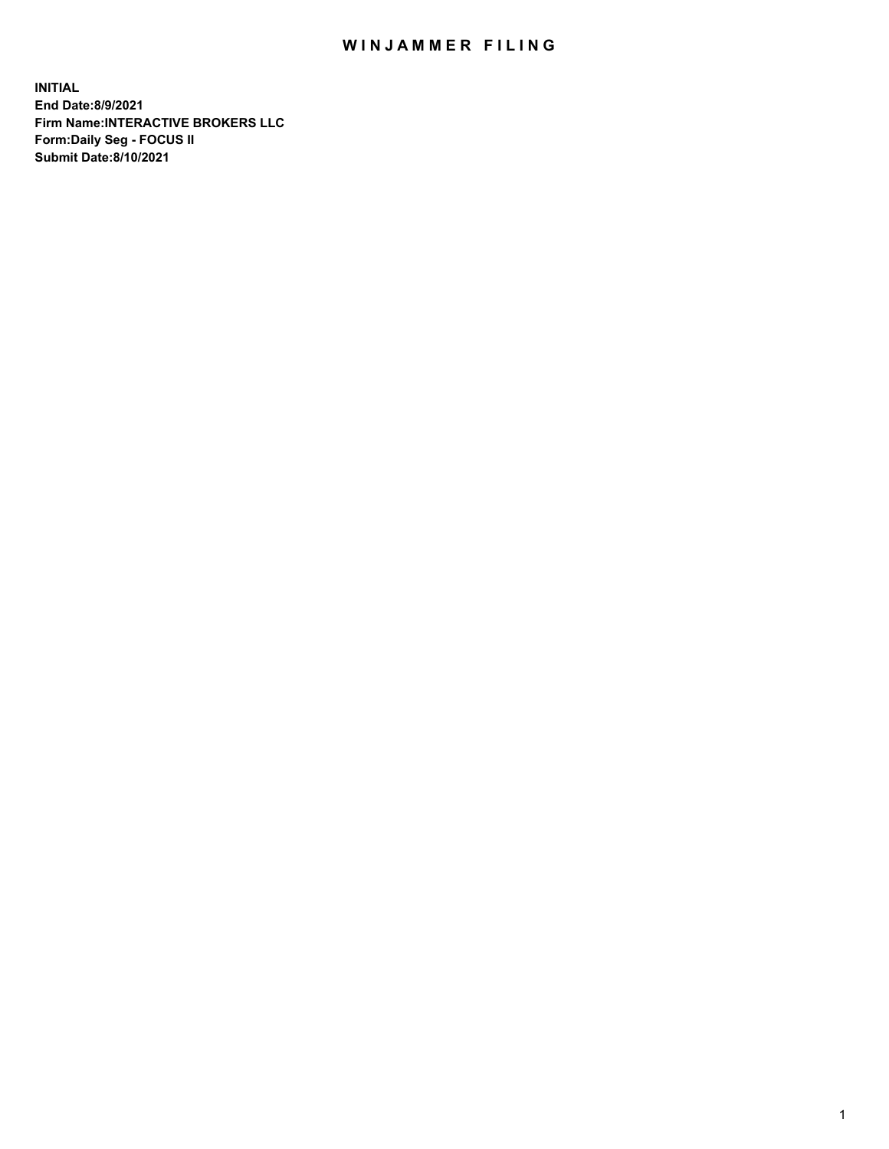## WIN JAMMER FILING

**INITIAL End Date:8/9/2021 Firm Name:INTERACTIVE BROKERS LLC Form:Daily Seg - FOCUS II Submit Date:8/10/2021**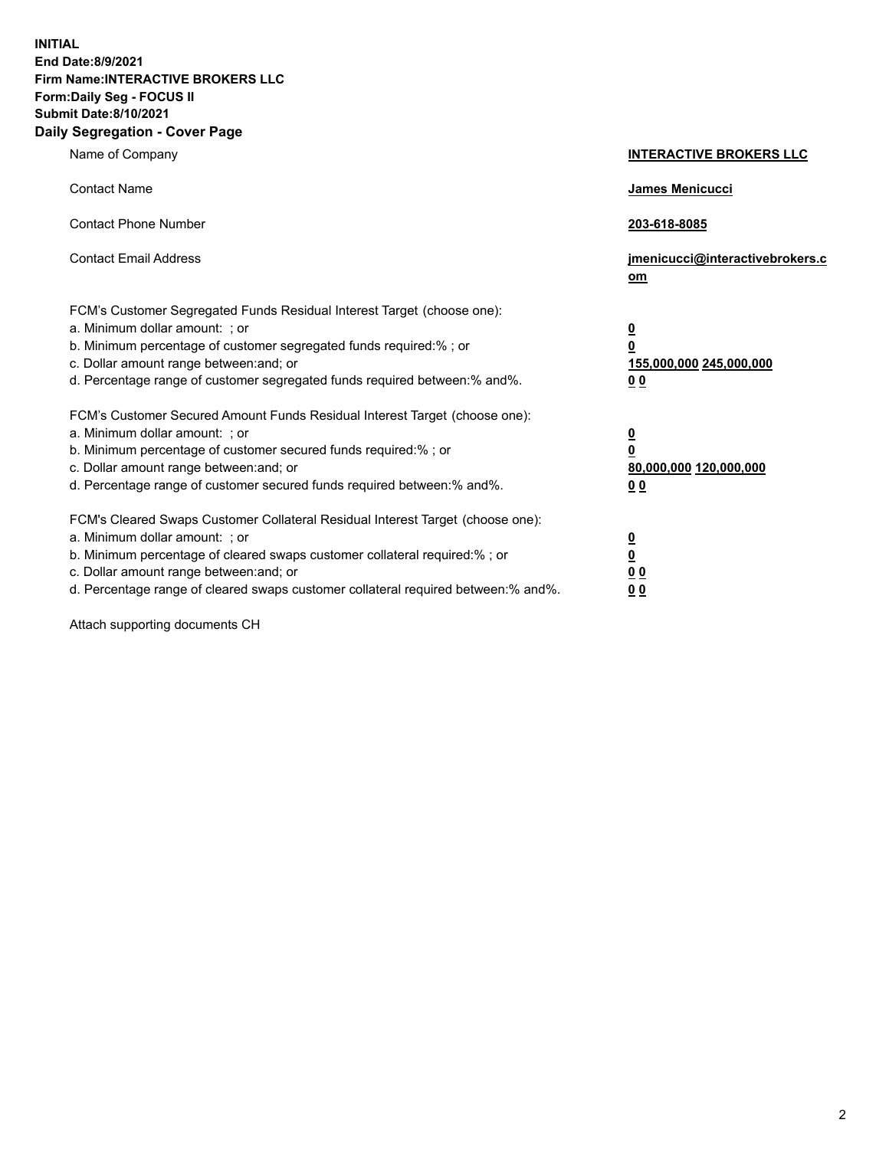**INITIAL End Date:8/9/2021 Firm Name:INTERACTIVE BROKERS LLC Form:Daily Seg - FOCUS II Submit Date:8/10/2021 Daily Segregation - Cover Page**

| Name of Company                                                                                                                                                                                                                                                                                                                | <b>INTERACTIVE BROKERS LLC</b>                                                                  |
|--------------------------------------------------------------------------------------------------------------------------------------------------------------------------------------------------------------------------------------------------------------------------------------------------------------------------------|-------------------------------------------------------------------------------------------------|
| <b>Contact Name</b>                                                                                                                                                                                                                                                                                                            | James Menicucci                                                                                 |
| <b>Contact Phone Number</b>                                                                                                                                                                                                                                                                                                    | 203-618-8085                                                                                    |
| <b>Contact Email Address</b>                                                                                                                                                                                                                                                                                                   | jmenicucci@interactivebrokers.c<br>$om$                                                         |
| FCM's Customer Segregated Funds Residual Interest Target (choose one):<br>a. Minimum dollar amount: ; or<br>b. Minimum percentage of customer segregated funds required:% ; or<br>c. Dollar amount range between: and; or<br>d. Percentage range of customer segregated funds required between:% and%.                         | $\overline{\mathbf{0}}$<br>$\overline{\mathbf{0}}$<br>155,000,000 245,000,000<br>0 <sub>0</sub> |
| FCM's Customer Secured Amount Funds Residual Interest Target (choose one):<br>a. Minimum dollar amount: ; or<br>b. Minimum percentage of customer secured funds required:%; or<br>c. Dollar amount range between: and; or<br>d. Percentage range of customer secured funds required between:% and%.                            | $\overline{\mathbf{0}}$<br>$\overline{\mathbf{0}}$<br>80,000,000 120,000,000<br>0 <sub>0</sub>  |
| FCM's Cleared Swaps Customer Collateral Residual Interest Target (choose one):<br>a. Minimum dollar amount: ; or<br>b. Minimum percentage of cleared swaps customer collateral required:% ; or<br>c. Dollar amount range between: and; or<br>d. Percentage range of cleared swaps customer collateral required between:% and%. | $\overline{\mathbf{0}}$<br><u>0</u><br>0 <sub>0</sub><br>0 <sub>0</sub>                         |

Attach supporting documents CH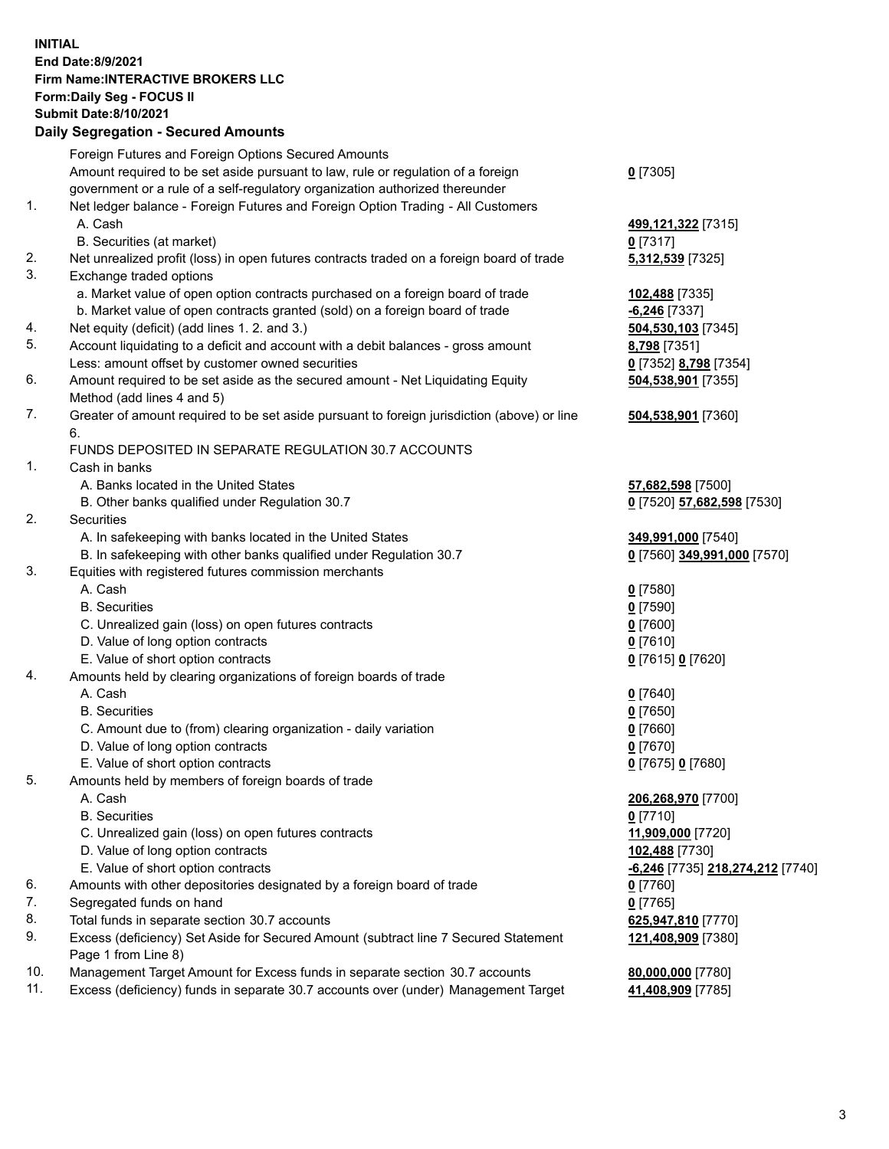## **INITIAL End Date:8/9/2021 Firm Name:INTERACTIVE BROKERS LLC Form:Daily Seg - FOCUS II Submit Date:8/10/2021 Daily Segregation - Secured Amounts**

|                | Daily Segregation - Secured Amounts                                                                        |                                         |
|----------------|------------------------------------------------------------------------------------------------------------|-----------------------------------------|
|                | Foreign Futures and Foreign Options Secured Amounts                                                        |                                         |
|                | Amount required to be set aside pursuant to law, rule or regulation of a foreign                           | $0$ [7305]                              |
|                | government or a rule of a self-regulatory organization authorized thereunder                               |                                         |
| $\mathbf{1}$ . | Net ledger balance - Foreign Futures and Foreign Option Trading - All Customers                            |                                         |
|                | A. Cash                                                                                                    | 499,121,322 [7315]                      |
|                | B. Securities (at market)                                                                                  | $0$ [7317]                              |
| 2.             | Net unrealized profit (loss) in open futures contracts traded on a foreign board of trade                  | 5,312,539 [7325]                        |
| 3.             | Exchange traded options                                                                                    |                                         |
|                | a. Market value of open option contracts purchased on a foreign board of trade                             | 102,488 [7335]                          |
|                | b. Market value of open contracts granted (sold) on a foreign board of trade                               | $-6,246$ [7337]                         |
| 4.             | Net equity (deficit) (add lines 1. 2. and 3.)                                                              | 504,530,103 [7345]                      |
| 5.             | Account liquidating to a deficit and account with a debit balances - gross amount                          | 8,798 [7351]                            |
|                | Less: amount offset by customer owned securities                                                           | 0 [7352] 8,798 [7354]                   |
| 6.             | Amount required to be set aside as the secured amount - Net Liquidating Equity                             | 504,538,901 [7355]                      |
|                | Method (add lines 4 and 5)                                                                                 |                                         |
| 7.             | Greater of amount required to be set aside pursuant to foreign jurisdiction (above) or line<br>6.          | 504,538,901 [7360]                      |
|                | FUNDS DEPOSITED IN SEPARATE REGULATION 30.7 ACCOUNTS                                                       |                                         |
| 1.             | Cash in banks                                                                                              |                                         |
|                | A. Banks located in the United States                                                                      | 57,682,598 [7500]                       |
|                | B. Other banks qualified under Regulation 30.7                                                             | 0 [7520] 57,682,598 [7530]              |
| 2.             | Securities                                                                                                 |                                         |
|                | A. In safekeeping with banks located in the United States                                                  | 349,991,000 [7540]                      |
|                | B. In safekeeping with other banks qualified under Regulation 30.7                                         | 0 [7560] 349,991,000 [7570]             |
| 3.             | Equities with registered futures commission merchants                                                      |                                         |
|                | A. Cash                                                                                                    | $0$ [7580]                              |
|                | <b>B.</b> Securities                                                                                       | $0$ [7590]                              |
|                | C. Unrealized gain (loss) on open futures contracts                                                        | $0$ [7600]                              |
|                | D. Value of long option contracts                                                                          | $0$ [7610]                              |
|                | E. Value of short option contracts                                                                         | 0 [7615] 0 [7620]                       |
| 4.             | Amounts held by clearing organizations of foreign boards of trade                                          |                                         |
|                | A. Cash                                                                                                    | $0$ [7640]                              |
|                | <b>B.</b> Securities                                                                                       | $0$ [7650]                              |
|                | C. Amount due to (from) clearing organization - daily variation                                            | $0$ [7660]                              |
|                | D. Value of long option contracts                                                                          | $0$ [7670]                              |
|                | E. Value of short option contracts                                                                         | 0 [7675] 0 [7680]                       |
| 5.             | Amounts held by members of foreign boards of trade                                                         |                                         |
|                | A. Cash                                                                                                    | 206,268,970 [7700]                      |
|                | <b>B.</b> Securities                                                                                       | $0$ [7710]                              |
|                | C. Unrealized gain (loss) on open futures contracts                                                        | 11,909,000 [7720]                       |
|                | D. Value of long option contracts                                                                          | 102,488 [7730]                          |
|                | E. Value of short option contracts                                                                         | <u>-6,246</u> [7735] 218,274,212 [7740] |
| 6.             | Amounts with other depositories designated by a foreign board of trade                                     | 0 [7760]                                |
| 7.             | Segregated funds on hand                                                                                   | $0$ [7765]                              |
| 8.             | Total funds in separate section 30.7 accounts                                                              | 625,947,810 [7770]                      |
| 9.             | Excess (deficiency) Set Aside for Secured Amount (subtract line 7 Secured Statement<br>Page 1 from Line 8) | 121,408,909 [7380]                      |
| 10.            | Management Target Amount for Excess funds in separate section 30.7 accounts                                | 80,000,000 [7780]                       |
| 11.            | Excess (deficiency) funds in separate 30.7 accounts over (under) Management Target                         | 41,408,909 [7785]                       |
|                |                                                                                                            |                                         |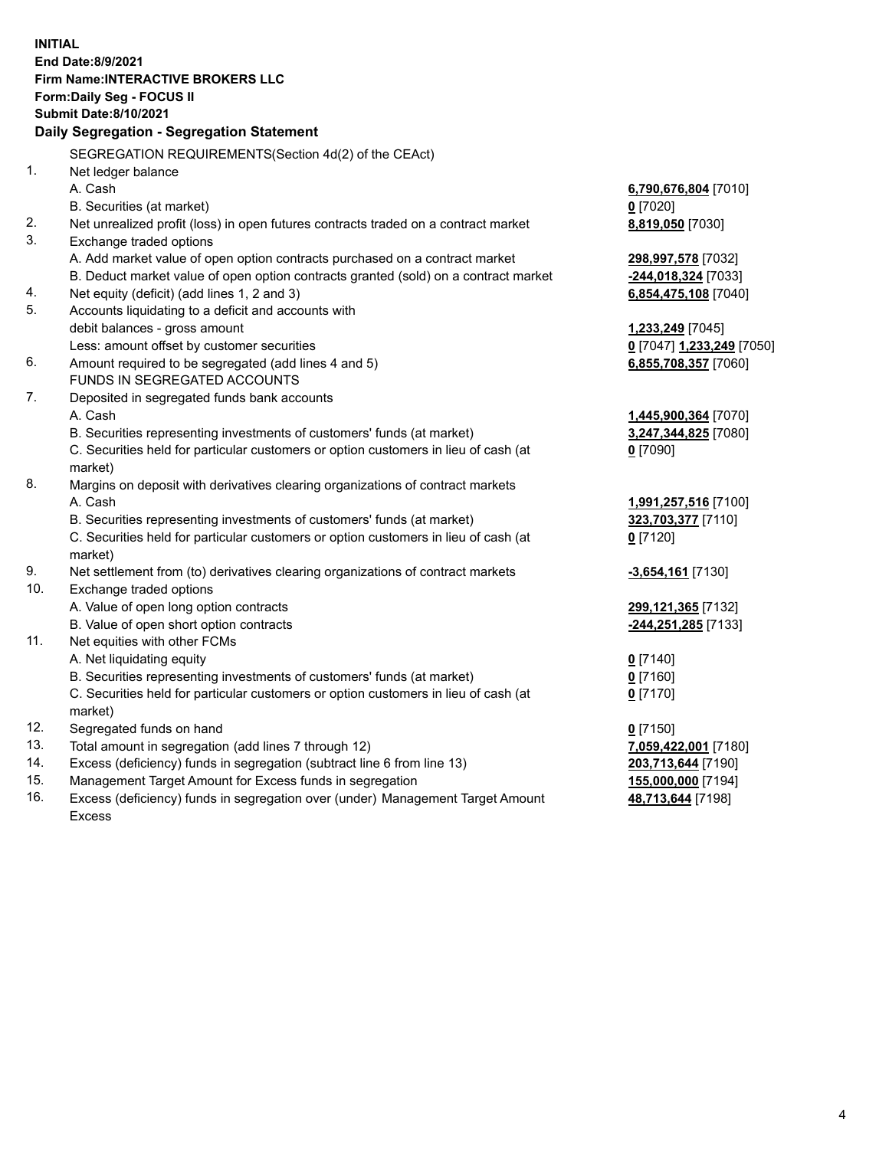**INITIAL End Date:8/9/2021 Firm Name:INTERACTIVE BROKERS LLC Form:Daily Seg - FOCUS II Submit Date:8/10/2021 Daily Segregation - Segregation Statement** SEGREGATION REQUIREMENTS(Section 4d(2) of the CEAct) 1. Net ledger balance A. Cash **6,790,676,804** [7010] B. Securities (at market) **0** [7020] 2. Net unrealized profit (loss) in open futures contracts traded on a contract market **8,819,050** [7030] 3. Exchange traded options A. Add market value of open option contracts purchased on a contract market **298,997,578** [7032] B. Deduct market value of open option contracts granted (sold) on a contract market **-244,018,324** [7033] 4. Net equity (deficit) (add lines 1, 2 and 3) **6,854,475,108** [7040] 5. Accounts liquidating to a deficit and accounts with debit balances - gross amount **1,233,249** [7045] Less: amount offset by customer securities **0** [7047] **1,233,249** [7050] 6. Amount required to be segregated (add lines 4 and 5) **6,855,708,357** [7060] FUNDS IN SEGREGATED ACCOUNTS 7. Deposited in segregated funds bank accounts A. Cash **1,445,900,364** [7070] B. Securities representing investments of customers' funds (at market) **3,247,344,825** [7080] C. Securities held for particular customers or option customers in lieu of cash (at market) **0** [7090] 8. Margins on deposit with derivatives clearing organizations of contract markets A. Cash **1,991,257,516** [7100] B. Securities representing investments of customers' funds (at market) **323,703,377** [7110] C. Securities held for particular customers or option customers in lieu of cash (at market) **0** [7120] 9. Net settlement from (to) derivatives clearing organizations of contract markets **-3,654,161** [7130] 10. Exchange traded options A. Value of open long option contracts **299,121,365** [7132] B. Value of open short option contracts **-244,251,285** [7133] 11. Net equities with other FCMs A. Net liquidating equity **0** [7140] B. Securities representing investments of customers' funds (at market) **0** [7160] C. Securities held for particular customers or option customers in lieu of cash (at market) **0** [7170] 12. Segregated funds on hand **0** [7150] 13. Total amount in segregation (add lines 7 through 12) **7,059,422,001** [7180] 14. Excess (deficiency) funds in segregation (subtract line 6 from line 13) **203,713,644** [7190] 15. Management Target Amount for Excess funds in segregation **155,000,000** [7194] 16. Excess (deficiency) funds in segregation over (under) Management Target Amount **48,713,644** [7198]

Excess